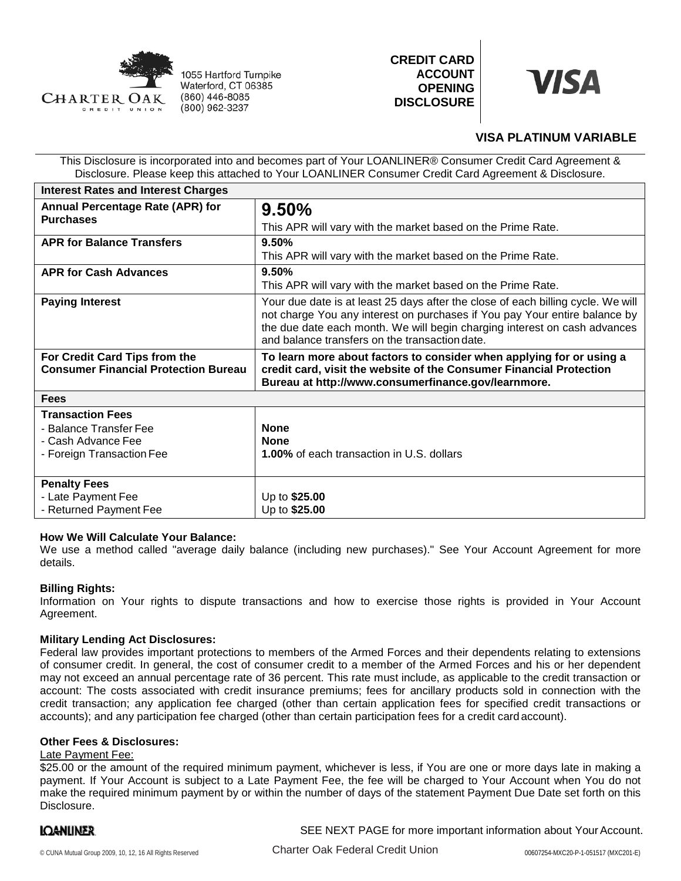

1055 Hartford Turnpike Waterford, CT 06385 (860) 446-8085 (800) 962-3237





# **VISA PLATINUM VARIABLE**

This Disclosure is incorporated into and becomes part of Your LOANLINER® Consumer Credit Card Agreement & Disclosure. Please keep this attached to Your LOANLINER Consumer Credit Card Agreement & Disclosure.

| <b>Interest Rates and Interest Charges</b>                                   |                                                                                                                                                                                                                                                                                               |
|------------------------------------------------------------------------------|-----------------------------------------------------------------------------------------------------------------------------------------------------------------------------------------------------------------------------------------------------------------------------------------------|
| <b>Annual Percentage Rate (APR) for</b><br><b>Purchases</b>                  | 9.50%                                                                                                                                                                                                                                                                                         |
|                                                                              | This APR will vary with the market based on the Prime Rate.                                                                                                                                                                                                                                   |
| <b>APR for Balance Transfers</b>                                             | 9.50%                                                                                                                                                                                                                                                                                         |
|                                                                              | This APR will vary with the market based on the Prime Rate.                                                                                                                                                                                                                                   |
| <b>APR for Cash Advances</b>                                                 | 9.50%                                                                                                                                                                                                                                                                                         |
|                                                                              | This APR will vary with the market based on the Prime Rate.                                                                                                                                                                                                                                   |
| <b>Paying Interest</b>                                                       | Your due date is at least 25 days after the close of each billing cycle. We will<br>not charge You any interest on purchases if You pay Your entire balance by<br>the due date each month. We will begin charging interest on cash advances<br>and balance transfers on the transaction date. |
| For Credit Card Tips from the<br><b>Consumer Financial Protection Bureau</b> | To learn more about factors to consider when applying for or using a<br>credit card, visit the website of the Consumer Financial Protection<br>Bureau at http://www.consumerfinance.gov/learnmore.                                                                                            |
| <b>Fees</b>                                                                  |                                                                                                                                                                                                                                                                                               |
| <b>Transaction Fees</b>                                                      |                                                                                                                                                                                                                                                                                               |
| - Balance Transfer Fee                                                       | <b>None</b>                                                                                                                                                                                                                                                                                   |
| - Cash Advance Fee                                                           | <b>None</b>                                                                                                                                                                                                                                                                                   |
| - Foreign Transaction Fee                                                    | <b>1.00%</b> of each transaction in U.S. dollars                                                                                                                                                                                                                                              |
| <b>Penalty Fees</b>                                                          |                                                                                                                                                                                                                                                                                               |
| - Late Payment Fee                                                           | Up to \$25.00                                                                                                                                                                                                                                                                                 |
| - Returned Payment Fee                                                       | Up to \$25.00                                                                                                                                                                                                                                                                                 |

# **How We Will Calculate Your Balance:**

We use a method called "average daily balance (including new purchases)." See Your Account Agreement for more details.

# **Billing Rights:**

Information on Your rights to dispute transactions and how to exercise those rights is provided in Your Account Agreement.

# **Military Lending Act Disclosures:**

Federal law provides important protections to members of the Armed Forces and their dependents relating to extensions of consumer credit. In general, the cost of consumer credit to a member of the Armed Forces and his or her dependent may not exceed an annual percentage rate of 36 percent. This rate must include, as applicable to the credit transaction or account: The costs associated with credit insurance premiums; fees for ancillary products sold in connection with the credit transaction; any application fee charged (other than certain application fees for specified credit transactions or accounts); and any participation fee charged (other than certain participation fees for a credit card account).

#### **Other Fees & Disclosures:**

#### Late Payment Fee:

\$25.00 or the amount of the required minimum payment, whichever is less, if You are one or more days late in making a payment. If Your Account is subject to a Late Payment Fee, the fee will be charged to Your Account when You do not make the required minimum payment by or within the number of days of the statement Payment Due Date set forth on this Disclosure.

# IQANLINER.

SEE NEXT PAGE for more important information about Your Account.